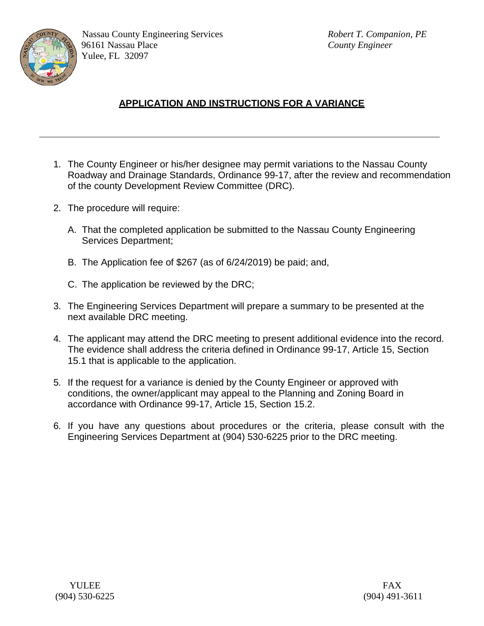

- 1. The County Engineer or his/her designee may permit variations to the Nassau County Roadway and Drainage Standards, Ordinance 99-17, after the review and recommendation of the county Development Review Committee (DRC).
- 2. The procedure will require:
	- A. That the completed application be submitted to the Nassau County Engineering Services Department;
	- B. The Application fee of \$267 (as of 6/24/2019) be paid; and,
	- C. The application be reviewed by the DRC;
- 3. The Engineering Services Department will prepare a summary to be presented at the next available DRC meeting.
- 4. The applicant may attend the DRC meeting to present additional evidence into the record. The evidence shall address the criteria defined in Ordinance 99-17, Article 15, Section 15.1 that is applicable to the application.
- 5. If the request for a variance is denied by the County Engineer or approved with conditions, the owner/applicant may appeal to the Planning and Zoning Board in accordance with Ordinance 99-17, Article 15, Section 15.2.
- 6. If you have any questions about procedures or the criteria, please consult with the Engineering Services Department at (904) 530-6225 prior to the DRC meeting.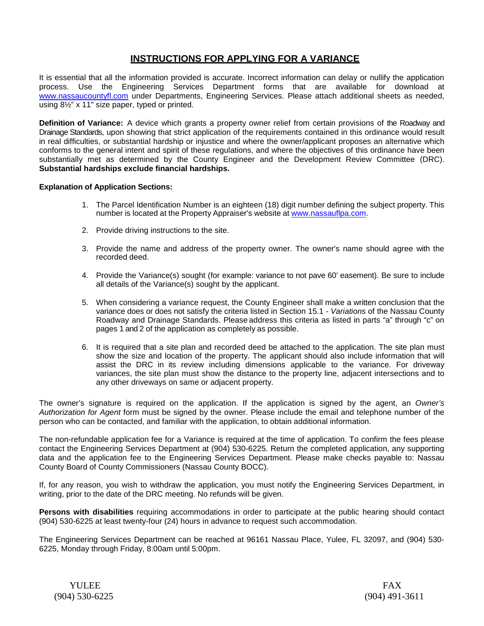### **INSTRUCTIONS FOR APPLYING FOR A VARIANCE**

It is essential that all the information provided is accurate. Incorrect information can delay or nullify the application process. Use the Engineering Services Department forms that are available for download at [www.nassaucountyfl.com](http://www.nassaucountyfl.com/) under Departments, Engineering Services. Please attach additional sheets as needed, using 8½" x 11" size paper, typed or printed.

**Definition of Variance:** A device which grants a property owner relief from certain provisions of the Roadway and Drainage Standards, upon showing that strict application of the requirements contained in this ordinance would result in real difficulties, or substantial hardship or injustice and where the owner/applicant proposes an alternative which conforms to the general intent and spirit of these regulations, and where the objectives of this ordinance have been substantially met as determined by the County Engineer and the Development Review Committee (DRC). **Substantial hardships exclude financial hardships.**

#### **Explanation of Application Sections:**

- 1. The Parcel Identification Number is an eighteen (18) digit number defining the subject property. This number is located at the Property Appraiser's website at [www.nassauflpa.com.](http://www.nassauflpa.com/)
- 2. Provide driving instructions to the site.
- 3. Provide the name and address of the property owner. The owner's name should agree with the recorded deed.
- 4. Provide the Variance(s) sought (for example: variance to not pave 60' easement). Be sure to include all details of the Variance(s) sought by the applicant.
- 5. When considering a variance request, the County Engineer shall make a written conclusion that the variance does or does not satisfy the criteria listed in Section 15.1 - *Variations* of the Nassau County Roadway and Drainage Standards. Please address this criteria as listed in parts "a" through "c" on pages 1 and 2 of the application as completely as possible.
- 6. It is required that a site plan and recorded deed be attached to the application. The site plan must show the size and location of the property. The applicant should also include information that will assist the DRC in its review including dimensions applicable to the variance. For driveway variances, the site plan must show the distance to the property line, adjacent intersections and to any other driveways on same or adjacent property.

The owner's signature is required on the application. If the application is signed by the agent, an *Owner's Authorization for Agent* form must be signed by the owner. Please include the email and telephone number of the person who can be contacted, and familiar with the application, to obtain additional information.

The non-refundable application fee for a Variance is required at the time of application. To confirm the fees please contact the Engineering Services Department at (904) 530-6225. Return the completed application, any supporting data and the application fee to the Engineering Services Department. Please make checks payable to: Nassau County Board of County Commissioners (Nassau County BOCC).

If, for any reason, you wish to withdraw the application, you must notify the Engineering Services Department, in writing, prior to the date of the DRC meeting. No refunds will be given.

**Persons with disabilities** requiring accommodations in order to participate at the public hearing should contact (904) 530-6225 at least twenty-four (24) hours in advance to request such accommodation.

The Engineering Services Department can be reached at 96161 Nassau Place, Yulee, FL 32097, and (904) 530- 6225, Monday through Friday, 8:00am until 5:00pm.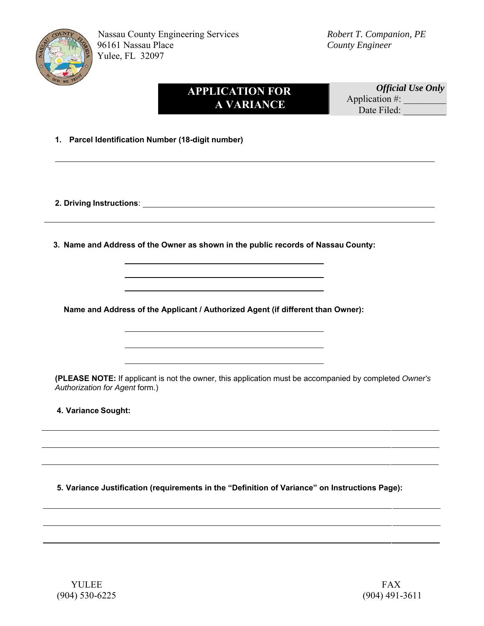

# **APPLICATION FOR A VARIANCE**

 *Official Use Only* Application  $\#$ : Date Filed:

**1. Parcel Identification Number (18-digit number)** 

**2. Driving Instructions**:

**3. Name and Address of the Owner as shown in the public records of Nassau County:** 

**Name and Address of the Applicant / Authorized Agent (if different than Owner):** 

**(PLEASE NOTE:** If applicant is not the owner, this application must be accompanied by completed *Owner's Authorization for Agent* form.)

**4.Variance Sought:** 

**5. Variance Justification (requirements in the "Definition of Variance" on Instructions Page):**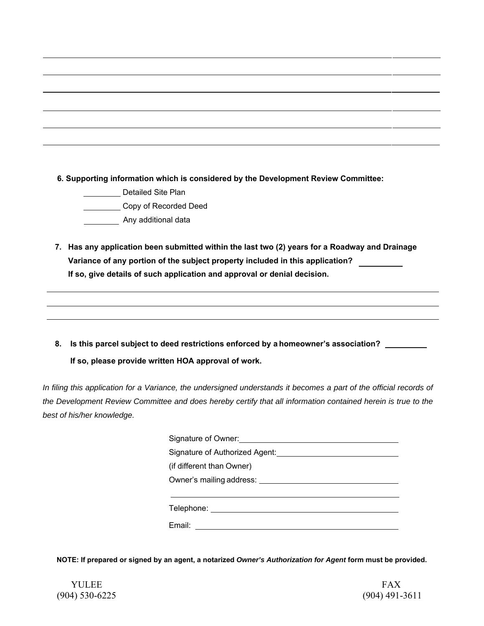**6. Supporting information which is considered by the Development Review Committee:** 

Detailed Site Plan

Copy of Recorded Deed

**Any additional data** 

- **7. Has any application been submitted within the last two (2) years for a Roadway and Drainage Variance of any portion of the subject property included in this application? If so, give details of such application and approval or denial decision.**
- **8. Is this parcel subject to deed restrictions enforced by a homeowner's association? If so, please provide written HOA approval of work.**

In filing this application for a Variance, the undersigned understands it becomes a part of the official records of *the Development Review Committee and does hereby certify that all information contained herein is true to the best of his/her knowledge.* 

| Signature of Owner: Signature of Owners |  |  |  |
|-----------------------------------------|--|--|--|
| Signature of Authorized Agent:          |  |  |  |
| (if different than Owner)               |  |  |  |
|                                         |  |  |  |
|                                         |  |  |  |
| Telephone: ______________________       |  |  |  |
| Email: ____________                     |  |  |  |
|                                         |  |  |  |

**NOTE: If prepared or signed by an agent, a notarized** *Owner's Authorization for Agent* **form must be provided.**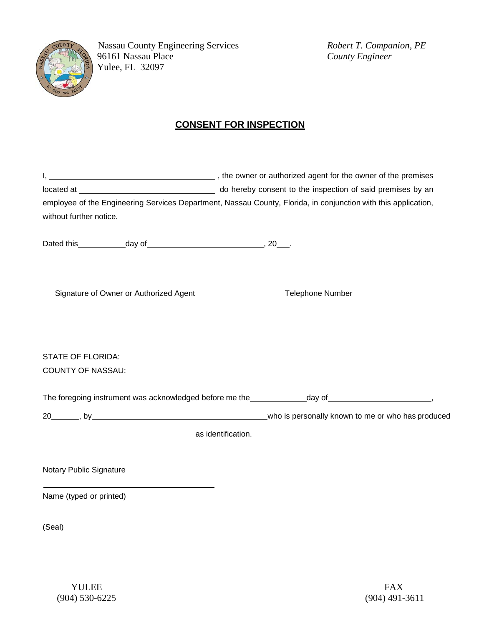

 Nassau County Engineering Services *Robert T. Companion, PE* 96161 Nassau Place *County Engineer* Yulee, FL 32097

## **CONSENT FOR INSPECTION**

|                                                      |                                        | employee of the Engineering Services Department, Nassau County, Florida, in conjunction with this application, |  |  |
|------------------------------------------------------|----------------------------------------|----------------------------------------------------------------------------------------------------------------|--|--|
| without further notice.                              |                                        |                                                                                                                |  |  |
|                                                      |                                        |                                                                                                                |  |  |
|                                                      | Signature of Owner or Authorized Agent | <b>Telephone Number</b>                                                                                        |  |  |
|                                                      |                                        |                                                                                                                |  |  |
| <b>STATE OF FLORIDA:</b><br><b>COUNTY OF NASSAU:</b> |                                        |                                                                                                                |  |  |
|                                                      |                                        |                                                                                                                |  |  |
|                                                      |                                        | The foregoing instrument was acknowledged before me the _____________day of _________________________________, |  |  |
|                                                      |                                        |                                                                                                                |  |  |
|                                                      | as identification.                     |                                                                                                                |  |  |
| Notary Public Signature                              |                                        |                                                                                                                |  |  |
| Name (typed or printed)                              |                                        |                                                                                                                |  |  |
| (Seal)                                               |                                        |                                                                                                                |  |  |
|                                                      |                                        |                                                                                                                |  |  |